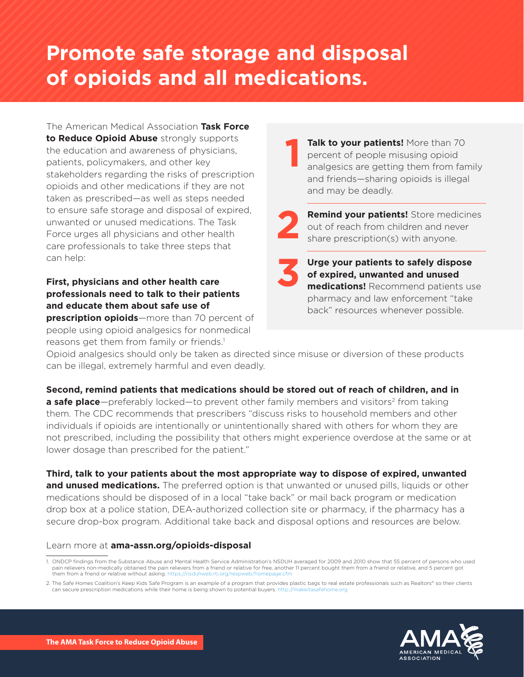# **Promote safe storage and disposal of opioids and all medications.**

The American Medical Association **Task Force to Reduce Opioid Abuse** strongly supports the education and awareness of physicians, patients, policymakers, and other key stakeholders regarding the risks of prescription opioids and other medications if they are not taken as prescribed—as well as steps needed to ensure safe storage and disposal of expired, unwanted or unused medications. The Task Force urges all physicians and other health care professionals to take three steps that can help:

### **First, physicians and other health care professionals need to talk to their patients and educate them about safe use of**

**prescription opioids**—more than 70 percent of people using opioid analgesics for nonmedical reasons get them from family or friends.<sup>1</sup>

**Talk to your patients!** More than 70 percent of people misusing opioid analgesics are getting them from family and friends—sharing opioids is illegal and may be deadly. **1**

**2**

**Remind your patients!** Store medicines out of reach from children and never share prescription(s) with anyone.



**Urge your patients to safely dispose of expired, unwanted and unused medications!** Recommend patients use pharmacy and law enforcement "take back" resources whenever possible.

Opioid analgesics should only be taken as directed since misuse or diversion of these products can be illegal, extremely harmful and even deadly.

**Second, remind patients that medications should be stored out of reach of children, and in a safe place**—preferably locked—to prevent other family members and visitors<sup>2</sup> from taking them. The CDC recommends that prescribers "discuss risks to household members and other individuals if opioids are intentionally or unintentionally shared with others for whom they are not prescribed, including the possibility that others might experience overdose at the same or at lower dosage than prescribed for the patient."

**Third, talk to your patients about the most appropriate way to dispose of expired, unwanted and unused medications.** The preferred option is that unwanted or unused pills, liquids or other medications should be disposed of in a local "take back" or mail back program or medication drop box at a police station, DEA-authorized collection site or pharmacy, if the pharmacy has a secure drop-box program. Additional take back and disposal options and resources are below.

#### Learn more at **[ama-assn.org/opioids-disposal](http://www.ama-assn.org/opioids-disposal)**

<sup>2.</sup> The Safe Homes Coalition's Keep Kids Safe Program is an example of a program that provides plastic bags to real estate professionals such as Realtors® so their clients can secure prescription medications while their home is being shown to potential buyers. http://mak



<sup>1.</sup> ONDCP findings from the Substance Abuse and Mental Health Service Administration's NSDUH averaged for 2009 and 2010 show that 55 percent of persons who used pain relievers non-medically obtained the pain relievers from a friend or relative for free, another 11 percent bought them from a friend or relative, and 5 percent got them from a friend or relative without asking. https://nsduhweb.rti.org/respweb/hor